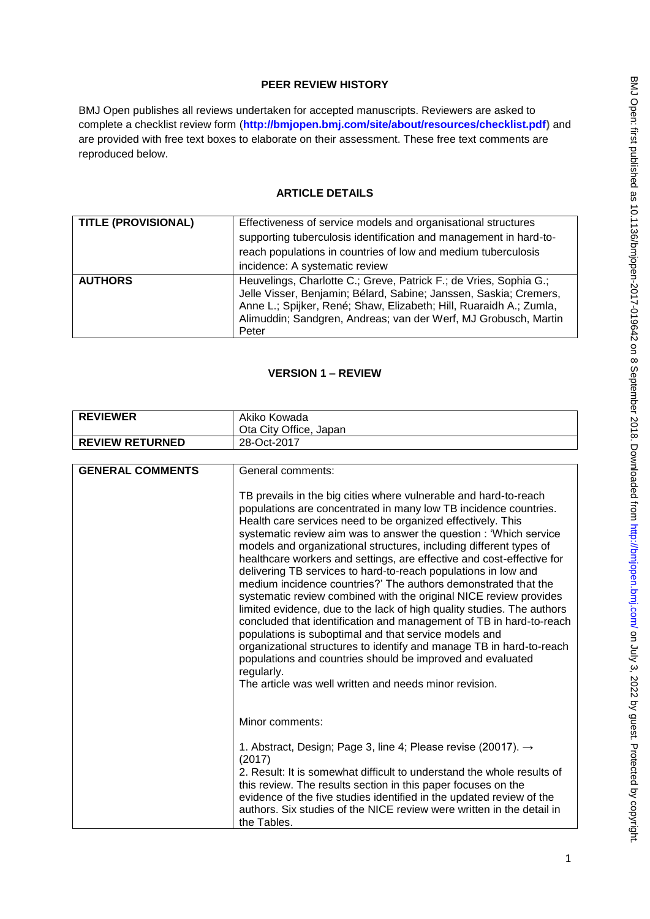# **PEER REVIEW HISTORY**

BMJ Open publishes all reviews undertaken for accepted manuscripts. Reviewers are asked to complete a checklist review form (**[http://bmjopen.bmj.com/site/about/resources/checklist.pdf\)](http://bmjopen.bmj.com/site/about/resources/checklist.pdf)** and are provided with free text boxes to elaborate on their assessment. These free text comments are reproduced below.

## **ARTICLE DETAILS**

| <b>TITLE (PROVISIONAL)</b> | Effectiveness of service models and organisational structures<br>supporting tuberculosis identification and management in hard-to-<br>reach populations in countries of low and medium tuberculosis<br>incidence: A systematic review                                                    |
|----------------------------|------------------------------------------------------------------------------------------------------------------------------------------------------------------------------------------------------------------------------------------------------------------------------------------|
| <b>AUTHORS</b>             | Heuvelings, Charlotte C.; Greve, Patrick F.; de Vries, Sophia G.;<br>Jelle Visser, Benjamin; Bélard, Sabine; Janssen, Saskia; Cremers,<br>Anne L.; Spijker, René; Shaw, Elizabeth; Hill, Ruaraidh A.; Zumla,<br>Alimuddin; Sandgren, Andreas; van der Werf, MJ Grobusch, Martin<br>Peter |

#### **VERSION 1 – REVIEW**

| <b>REVIEWER</b>        | Akiko Kowada<br>Ota City Office, Japan |
|------------------------|----------------------------------------|
| <b>REVIEW RETURNED</b> | 28-Oct-2017                            |

| <b>GENERAL COMMENTS</b> | General comments:                                                                                                                                                                                                                                                                                                                                                                                                                                                                                                                                                                                                                                                                                                                                                                                                                                                                                                                                                                                                                                       |
|-------------------------|---------------------------------------------------------------------------------------------------------------------------------------------------------------------------------------------------------------------------------------------------------------------------------------------------------------------------------------------------------------------------------------------------------------------------------------------------------------------------------------------------------------------------------------------------------------------------------------------------------------------------------------------------------------------------------------------------------------------------------------------------------------------------------------------------------------------------------------------------------------------------------------------------------------------------------------------------------------------------------------------------------------------------------------------------------|
|                         |                                                                                                                                                                                                                                                                                                                                                                                                                                                                                                                                                                                                                                                                                                                                                                                                                                                                                                                                                                                                                                                         |
|                         | TB prevails in the big cities where vulnerable and hard-to-reach<br>populations are concentrated in many low TB incidence countries.<br>Health care services need to be organized effectively. This<br>systematic review aim was to answer the question: 'Which service<br>models and organizational structures, including different types of<br>healthcare workers and settings, are effective and cost-effective for<br>delivering TB services to hard-to-reach populations in low and<br>medium incidence countries?' The authors demonstrated that the<br>systematic review combined with the original NICE review provides<br>limited evidence, due to the lack of high quality studies. The authors<br>concluded that identification and management of TB in hard-to-reach<br>populations is suboptimal and that service models and<br>organizational structures to identify and manage TB in hard-to-reach<br>populations and countries should be improved and evaluated<br>regularly.<br>The article was well written and needs minor revision. |
|                         | Minor comments:                                                                                                                                                                                                                                                                                                                                                                                                                                                                                                                                                                                                                                                                                                                                                                                                                                                                                                                                                                                                                                         |
|                         | 1. Abstract, Design; Page 3, line 4; Please revise (20017). $\rightarrow$<br>(2017)<br>2. Result: It is somewhat difficult to understand the whole results of<br>this review. The results section in this paper focuses on the<br>evidence of the five studies identified in the updated review of the<br>authors. Six studies of the NICE review were written in the detail in<br>the Tables.                                                                                                                                                                                                                                                                                                                                                                                                                                                                                                                                                                                                                                                          |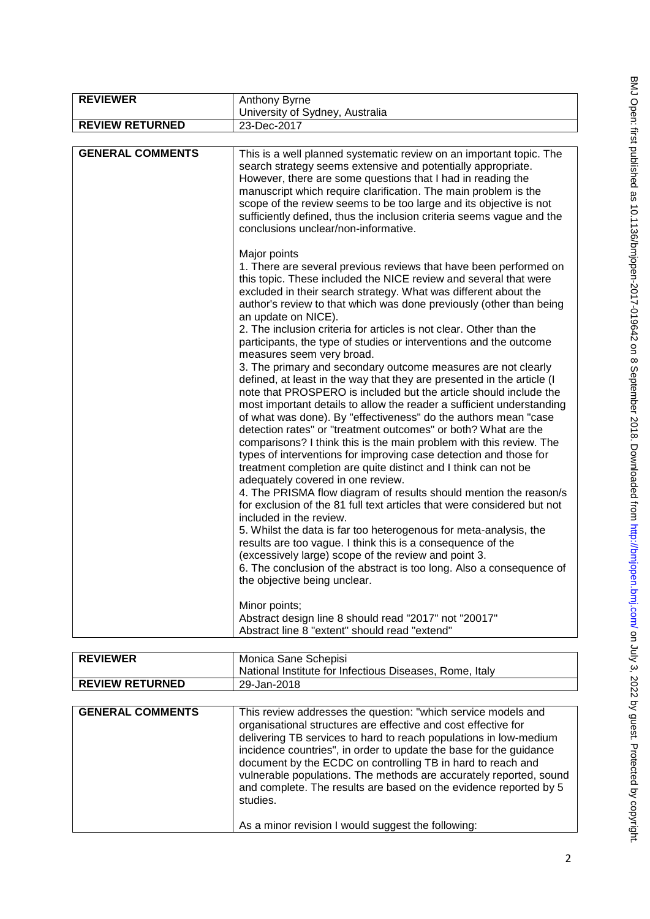| <b>REVIEWER</b>         | Anthony Byrne                                                                                                                                                                                                                                                                                                                                                                                                                                                                                                                                                                                                                                                                                                                                                                                                                                                                                                                                                                                                                                                                                                                                                                                                                                                                                                                                                                                                                                                                                                                                                                                                                                                                     |
|-------------------------|-----------------------------------------------------------------------------------------------------------------------------------------------------------------------------------------------------------------------------------------------------------------------------------------------------------------------------------------------------------------------------------------------------------------------------------------------------------------------------------------------------------------------------------------------------------------------------------------------------------------------------------------------------------------------------------------------------------------------------------------------------------------------------------------------------------------------------------------------------------------------------------------------------------------------------------------------------------------------------------------------------------------------------------------------------------------------------------------------------------------------------------------------------------------------------------------------------------------------------------------------------------------------------------------------------------------------------------------------------------------------------------------------------------------------------------------------------------------------------------------------------------------------------------------------------------------------------------------------------------------------------------------------------------------------------------|
|                         | University of Sydney, Australia                                                                                                                                                                                                                                                                                                                                                                                                                                                                                                                                                                                                                                                                                                                                                                                                                                                                                                                                                                                                                                                                                                                                                                                                                                                                                                                                                                                                                                                                                                                                                                                                                                                   |
| <b>REVIEW RETURNED</b>  | 23-Dec-2017                                                                                                                                                                                                                                                                                                                                                                                                                                                                                                                                                                                                                                                                                                                                                                                                                                                                                                                                                                                                                                                                                                                                                                                                                                                                                                                                                                                                                                                                                                                                                                                                                                                                       |
|                         |                                                                                                                                                                                                                                                                                                                                                                                                                                                                                                                                                                                                                                                                                                                                                                                                                                                                                                                                                                                                                                                                                                                                                                                                                                                                                                                                                                                                                                                                                                                                                                                                                                                                                   |
| <b>GENERAL COMMENTS</b> | This is a well planned systematic review on an important topic. The<br>search strategy seems extensive and potentially appropriate.<br>However, there are some questions that I had in reading the<br>manuscript which require clarification. The main problem is the<br>scope of the review seems to be too large and its objective is not<br>sufficiently defined, thus the inclusion criteria seems vague and the<br>conclusions unclear/non-informative.                                                                                                                                                                                                                                                                                                                                                                                                                                                                                                                                                                                                                                                                                                                                                                                                                                                                                                                                                                                                                                                                                                                                                                                                                      |
|                         | Major points<br>1. There are several previous reviews that have been performed on<br>this topic. These included the NICE review and several that were<br>excluded in their search strategy. What was different about the<br>author's review to that which was done previously (other than being<br>an update on NICE).<br>2. The inclusion criteria for articles is not clear. Other than the<br>participants, the type of studies or interventions and the outcome<br>measures seem very broad.<br>3. The primary and secondary outcome measures are not clearly<br>defined, at least in the way that they are presented in the article (I<br>note that PROSPERO is included but the article should include the<br>most important details to allow the reader a sufficient understanding<br>of what was done). By "effectiveness" do the authors mean "case<br>detection rates" or "treatment outcomes" or both? What are the<br>comparisons? I think this is the main problem with this review. The<br>types of interventions for improving case detection and those for<br>treatment completion are quite distinct and I think can not be<br>adequately covered in one review.<br>4. The PRISMA flow diagram of results should mention the reason/s<br>for exclusion of the 81 full text articles that were considered but not<br>included in the review.<br>5. Whilst the data is far too heterogenous for meta-analysis, the<br>results are too vague. I think this is a consequence of the<br>(excessively large) scope of the review and point 3.<br>6. The conclusion of the abstract is too long. Also a consequence of<br>the objective being unclear.<br>Minor points; |
|                         | Abstract design line 8 should read "2017" not "20017"<br>Abstract line 8 "extent" should read "extend"                                                                                                                                                                                                                                                                                                                                                                                                                                                                                                                                                                                                                                                                                                                                                                                                                                                                                                                                                                                                                                                                                                                                                                                                                                                                                                                                                                                                                                                                                                                                                                            |

| <b>REVIEWER</b>        | Monica Sane Schepisi<br>National Institute for Infectious Diseases, Rome, Italy |
|------------------------|---------------------------------------------------------------------------------|
| <b>REVIEW RETURNED</b> | 29-Jan-2018                                                                     |

| <b>GENERAL COMMENTS</b> | This review addresses the question: "which service models and<br>organisational structures are effective and cost effective for<br>delivering TB services to hard to reach populations in low-medium<br>incidence countries", in order to update the base for the guidance<br>document by the ECDC on controlling TB in hard to reach and<br>vulnerable populations. The methods are accurately reported, sound<br>and complete. The results are based on the evidence reported by 5<br>studies. |
|-------------------------|--------------------------------------------------------------------------------------------------------------------------------------------------------------------------------------------------------------------------------------------------------------------------------------------------------------------------------------------------------------------------------------------------------------------------------------------------------------------------------------------------|
|                         | As a minor revision I would suggest the following:                                                                                                                                                                                                                                                                                                                                                                                                                                               |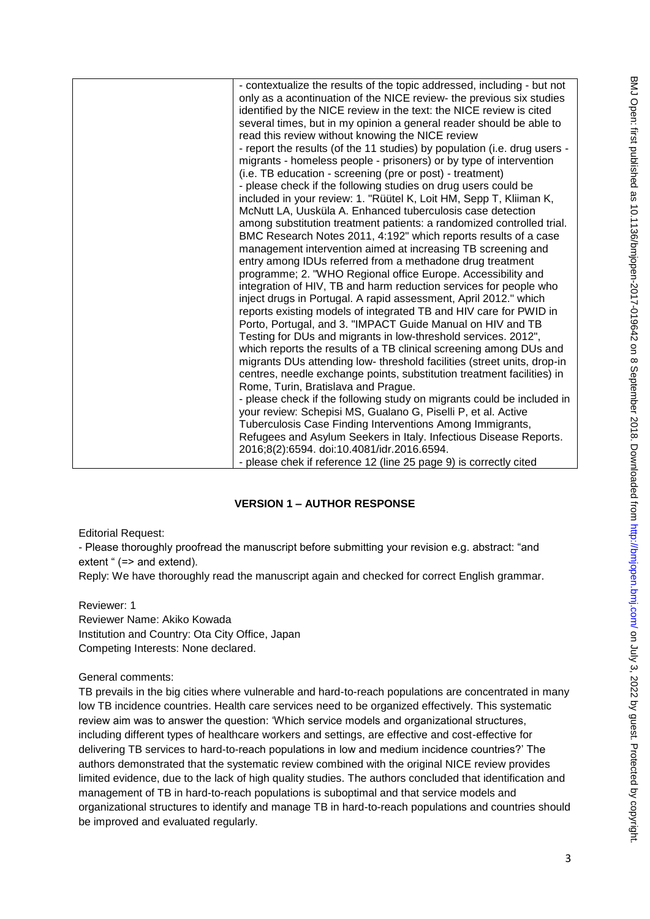| - contextualize the results of the topic addressed, including - but not<br>only as a acontinuation of the NICE review- the previous six studies<br>identified by the NICE review in the text: the NICE review is cited<br>several times, but in my opinion a general reader should be able to<br>read this review without knowing the NICE review<br>- report the results (of the 11 studies) by population (i.e. drug users -<br>migrants - homeless people - prisoners) or by type of intervention<br>(i.e. TB education - screening (pre or post) - treatment)<br>- please check if the following studies on drug users could be<br>included in your review: 1. "Rüütel K, Loit HM, Sepp T, Kliiman K,<br>McNutt LA, Uusküla A. Enhanced tuberculosis case detection<br>among substitution treatment patients: a randomized controlled trial.<br>BMC Research Notes 2011, 4:192" which reports results of a case<br>management intervention aimed at increasing TB screening and<br>entry among IDUs referred from a methadone drug treatment<br>programme; 2. "WHO Regional office Europe. Accessibility and<br>integration of HIV, TB and harm reduction services for people who<br>inject drugs in Portugal. A rapid assessment, April 2012." which<br>reports existing models of integrated TB and HIV care for PWID in<br>Porto, Portugal, and 3. "IMPACT Guide Manual on HIV and TB<br>Testing for DUs and migrants in low-threshold services. 2012",<br>which reports the results of a TB clinical screening among DUs and<br>migrants DUs attending low- threshold facilities (street units, drop-in<br>centres, needle exchange points, substitution treatment facilities) in<br>Rome, Turin, Bratislava and Prague.<br>- please check if the following study on migrants could be included in<br>your review: Schepisi MS, Gualano G, Piselli P, et al. Active<br>Tuberculosis Case Finding Interventions Among Immigrants,<br>Refugees and Asylum Seekers in Italy. Infectious Disease Reports.<br>2016;8(2):6594. doi:10.4081/idr.2016.6594. |
|-------------------------------------------------------------------------------------------------------------------------------------------------------------------------------------------------------------------------------------------------------------------------------------------------------------------------------------------------------------------------------------------------------------------------------------------------------------------------------------------------------------------------------------------------------------------------------------------------------------------------------------------------------------------------------------------------------------------------------------------------------------------------------------------------------------------------------------------------------------------------------------------------------------------------------------------------------------------------------------------------------------------------------------------------------------------------------------------------------------------------------------------------------------------------------------------------------------------------------------------------------------------------------------------------------------------------------------------------------------------------------------------------------------------------------------------------------------------------------------------------------------------------------------------------------------------------------------------------------------------------------------------------------------------------------------------------------------------------------------------------------------------------------------------------------------------------------------------------------------------------------------------------------------------------------------------------------------------------------------------------------------------------------------------------------------|
| - please chek if reference 12 (line 25 page 9) is correctly cited                                                                                                                                                                                                                                                                                                                                                                                                                                                                                                                                                                                                                                                                                                                                                                                                                                                                                                                                                                                                                                                                                                                                                                                                                                                                                                                                                                                                                                                                                                                                                                                                                                                                                                                                                                                                                                                                                                                                                                                           |

# **VERSION 1 – AUTHOR RESPONSE**

Editorial Request:

- Please thoroughly proofread the manuscript before submitting your revision e.g. abstract: "and extent " (=> and extend).

Reply: We have thoroughly read the manuscript again and checked for correct English grammar.

Reviewer: 1 Reviewer Name: Akiko Kowada Institution and Country: Ota City Office, Japan Competing Interests: None declared.

General comments:

TB prevails in the big cities where vulnerable and hard-to-reach populations are concentrated in many low TB incidence countries. Health care services need to be organized effectively. This systematic review aim was to answer the question: 'Which service models and organizational structures, including different types of healthcare workers and settings, are effective and cost-effective for delivering TB services to hard-to-reach populations in low and medium incidence countries?' The authors demonstrated that the systematic review combined with the original NICE review provides limited evidence, due to the lack of high quality studies. The authors concluded that identification and management of TB in hard-to-reach populations is suboptimal and that service models and organizational structures to identify and manage TB in hard-to-reach populations and countries should be improved and evaluated regularly.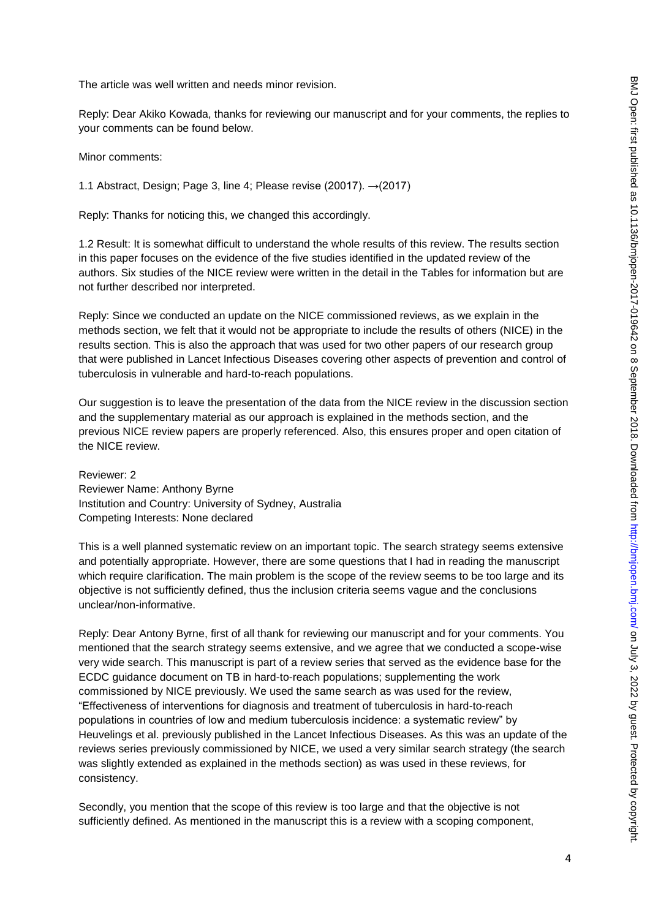The article was well written and needs minor revision.

Reply: Dear Akiko Kowada, thanks for reviewing our manuscript and for your comments, the replies to your comments can be found below.

Minor comments:

1.1 Abstract, Design; Page 3, line 4; Please revise (20017).  $\rightarrow$  (2017).

Reply: Thanks for noticing this, we changed this accordingly.

1.2 Result: It is somewhat difficult to understand the whole results of this review. The results section in this paper focuses on the evidence of the five studies identified in the updated review of the authors. Six studies of the NICE review were written in the detail in the Tables for information but are not further described nor interpreted.

Reply: Since we conducted an update on the NICE commissioned reviews, as we explain in the methods section, we felt that it would not be appropriate to include the results of others (NICE) in the results section. This is also the approach that was used for two other papers of our research group that were published in Lancet Infectious Diseases covering other aspects of prevention and control of tuberculosis in vulnerable and hard-to-reach populations.

Our suggestion is to leave the presentation of the data from the NICE review in the discussion section and the supplementary material as our approach is explained in the methods section, and the previous NICE review papers are properly referenced. Also, this ensures proper and open citation of the NICE review.

Reviewer: 2 Reviewer Name: Anthony Byrne Institution and Country: University of Sydney, Australia Competing Interests: None declared

This is a well planned systematic review on an important topic. The search strategy seems extensive and potentially appropriate. However, there are some questions that I had in reading the manuscript which require clarification. The main problem is the scope of the review seems to be too large and its objective is not sufficiently defined, thus the inclusion criteria seems vague and the conclusions unclear/non-informative.

Reply: Dear Antony Byrne, first of all thank for reviewing our manuscript and for your comments. You mentioned that the search strategy seems extensive, and we agree that we conducted a scope-wise very wide search. This manuscript is part of a review series that served as the evidence base for the ECDC guidance document on TB in hard-to-reach populations; supplementing the work commissioned by NICE previously. We used the same search as was used for the review, "Effectiveness of interventions for diagnosis and treatment of tuberculosis in hard-to-reach populations in countries of low and medium tuberculosis incidence: a systematic review" by Heuvelings et al. previously published in the Lancet Infectious Diseases. As this was an update of the reviews series previously commissioned by NICE, we used a very similar search strategy (the search was slightly extended as explained in the methods section) as was used in these reviews, for consistency.

Secondly, you mention that the scope of this review is too large and that the objective is not sufficiently defined. As mentioned in the manuscript this is a review with a scoping component,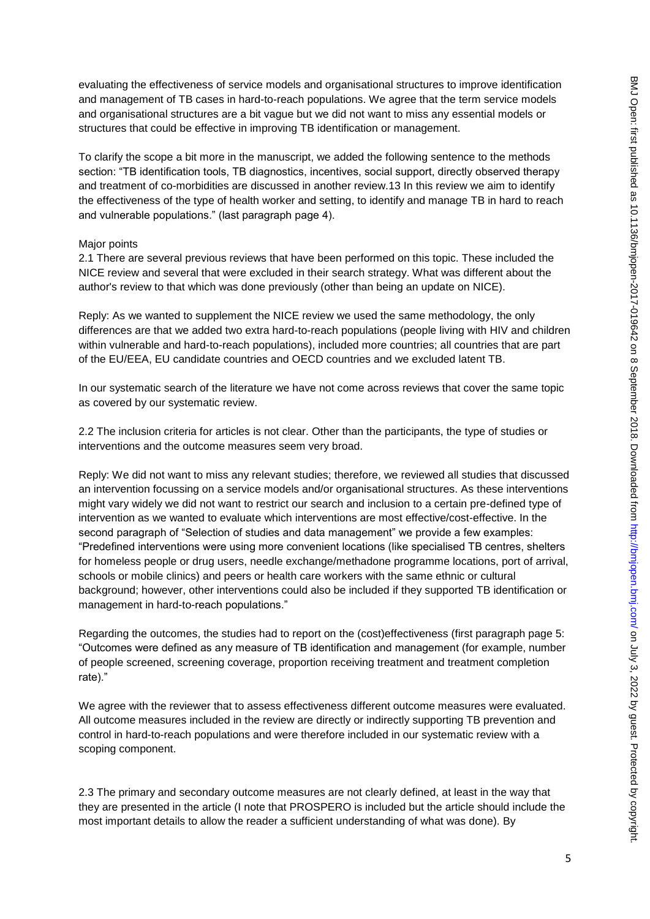evaluating the effectiveness of service models and organisational structures to improve identification and management of TB cases in hard-to-reach populations. We agree that the term service models and organisational structures are a bit vague but we did not want to miss any essential models or structures that could be effective in improving TB identification or management.

To clarify the scope a bit more in the manuscript, we added the following sentence to the methods section: "TB identification tools, TB diagnostics, incentives, social support, directly observed therapy and treatment of co-morbidities are discussed in another review.13 In this review we aim to identify the effectiveness of the type of health worker and setting, to identify and manage TB in hard to reach and vulnerable populations." (last paragraph page 4).

#### Major points

2.1 There are several previous reviews that have been performed on this topic. These included the NICE review and several that were excluded in their search strategy. What was different about the author's review to that which was done previously (other than being an update on NICE).

Reply: As we wanted to supplement the NICE review we used the same methodology, the only differences are that we added two extra hard-to-reach populations (people living with HIV and children within vulnerable and hard-to-reach populations), included more countries; all countries that are part of the EU/EEA, EU candidate countries and OECD countries and we excluded latent TB.

In our systematic search of the literature we have not come across reviews that cover the same topic as covered by our systematic review.

2.2 The inclusion criteria for articles is not clear. Other than the participants, the type of studies or interventions and the outcome measures seem very broad.

Reply: We did not want to miss any relevant studies; therefore, we reviewed all studies that discussed an intervention focussing on a service models and/or organisational structures. As these interventions might vary widely we did not want to restrict our search and inclusion to a certain pre-defined type of intervention as we wanted to evaluate which interventions are most effective/cost-effective. In the second paragraph of "Selection of studies and data management" we provide a few examples: "Predefined interventions were using more convenient locations (like specialised TB centres, shelters for homeless people or drug users, needle exchange/methadone programme locations, port of arrival, schools or mobile clinics) and peers or health care workers with the same ethnic or cultural background; however, other interventions could also be included if they supported TB identification or management in hard-to-reach populations."

Regarding the outcomes, the studies had to report on the (cost)effectiveness (first paragraph page 5: "Outcomes were defined as any measure of TB identification and management (for example, number of people screened, screening coverage, proportion receiving treatment and treatment completion rate)."

We agree with the reviewer that to assess effectiveness different outcome measures were evaluated. All outcome measures included in the review are directly or indirectly supporting TB prevention and control in hard-to-reach populations and were therefore included in our systematic review with a scoping component.

2.3 The primary and secondary outcome measures are not clearly defined, at least in the way that they are presented in the article (I note that PROSPERO is included but the article should include the most important details to allow the reader a sufficient understanding of what was done). By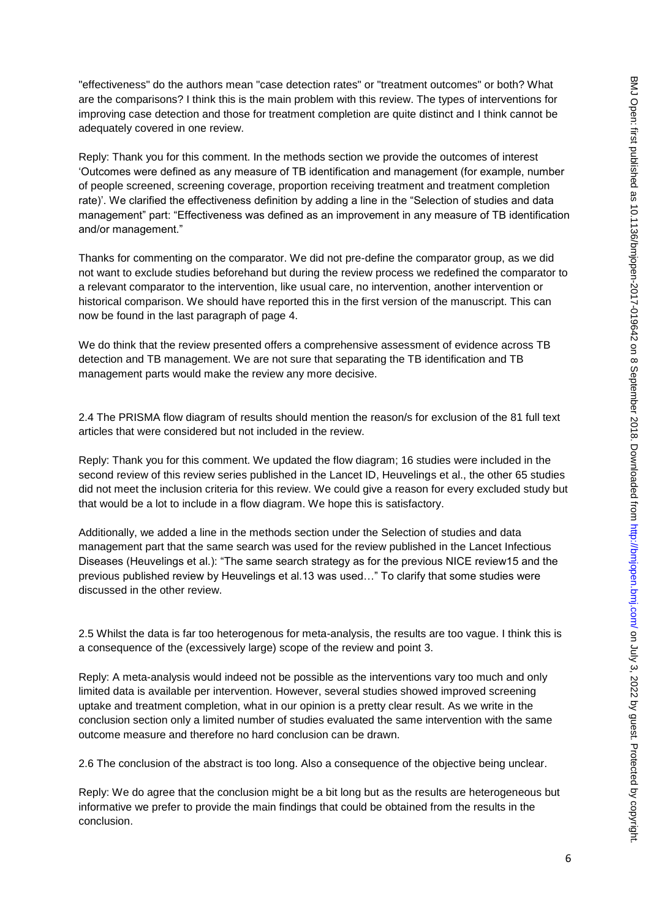"effectiveness" do the authors mean "case detection rates" or "treatment outcomes" or both? What are the comparisons? I think this is the main problem with this review. The types of interventions for improving case detection and those for treatment completion are quite distinct and I think cannot be adequately covered in one review.

Reply: Thank you for this comment. In the methods section we provide the outcomes of interest 'Outcomes were defined as any measure of TB identification and management (for example, number of people screened, screening coverage, proportion receiving treatment and treatment completion rate)'. We clarified the effectiveness definition by adding a line in the "Selection of studies and data management" part: "Effectiveness was defined as an improvement in any measure of TB identification and/or management."

Thanks for commenting on the comparator. We did not pre-define the comparator group, as we did not want to exclude studies beforehand but during the review process we redefined the comparator to a relevant comparator to the intervention, like usual care, no intervention, another intervention or historical comparison. We should have reported this in the first version of the manuscript. This can now be found in the last paragraph of page 4.

We do think that the review presented offers a comprehensive assessment of evidence across TB detection and TB management. We are not sure that separating the TB identification and TB management parts would make the review any more decisive.

2.4 The PRISMA flow diagram of results should mention the reason/s for exclusion of the 81 full text articles that were considered but not included in the review.

Reply: Thank you for this comment. We updated the flow diagram; 16 studies were included in the second review of this review series published in the Lancet ID, Heuvelings et al., the other 65 studies did not meet the inclusion criteria for this review. We could give a reason for every excluded study but that would be a lot to include in a flow diagram. We hope this is satisfactory.

Additionally, we added a line in the methods section under the Selection of studies and data management part that the same search was used for the review published in the Lancet Infectious Diseases (Heuvelings et al.): "The same search strategy as for the previous NICE review15 and the previous published review by Heuvelings et al.13 was used…" To clarify that some studies were discussed in the other review.

2.5 Whilst the data is far too heterogenous for meta-analysis, the results are too vague. I think this is a consequence of the (excessively large) scope of the review and point 3.

Reply: A meta-analysis would indeed not be possible as the interventions vary too much and only limited data is available per intervention. However, several studies showed improved screening uptake and treatment completion, what in our opinion is a pretty clear result. As we write in the conclusion section only a limited number of studies evaluated the same intervention with the same outcome measure and therefore no hard conclusion can be drawn.

2.6 The conclusion of the abstract is too long. Also a consequence of the objective being unclear.

Reply: We do agree that the conclusion might be a bit long but as the results are heterogeneous but informative we prefer to provide the main findings that could be obtained from the results in the conclusion.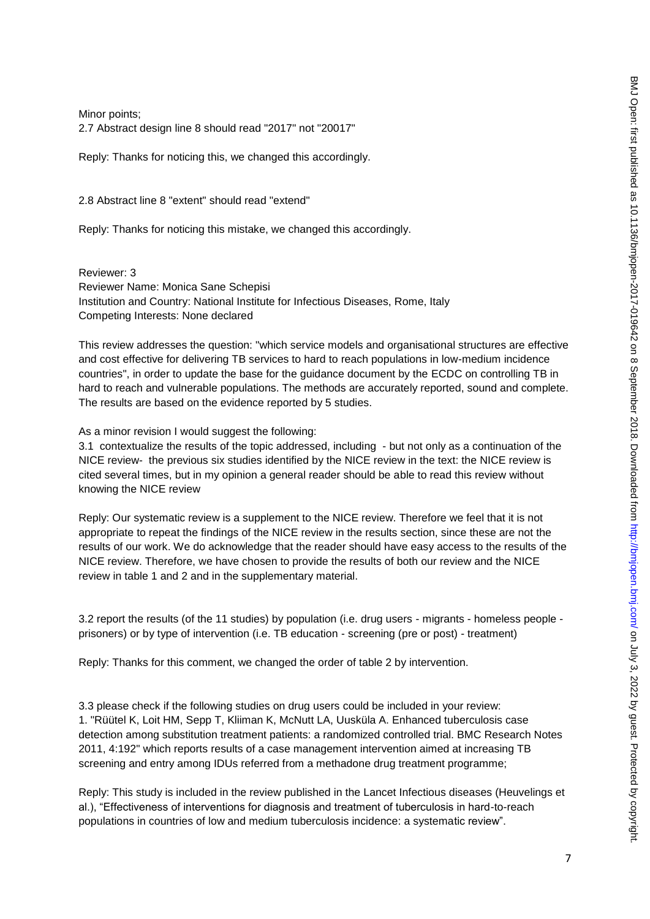Minor points; 2.7 Abstract design line 8 should read "2017" not "20017"

Reply: Thanks for noticing this, we changed this accordingly.

2.8 Abstract line 8 "extent" should read "extend"

Reply: Thanks for noticing this mistake, we changed this accordingly.

Reviewer: 3 Reviewer Name: Monica Sane Schepisi Institution and Country: National Institute for Infectious Diseases, Rome, Italy Competing Interests: None declared

This review addresses the question: "which service models and organisational structures are effective and cost effective for delivering TB services to hard to reach populations in low-medium incidence countries", in order to update the base for the guidance document by the ECDC on controlling TB in hard to reach and vulnerable populations. The methods are accurately reported, sound and complete. The results are based on the evidence reported by 5 studies.

As a minor revision I would suggest the following:

3.1 contextualize the results of the topic addressed, including - but not only as a continuation of the NICE review- the previous six studies identified by the NICE review in the text: the NICE review is cited several times, but in my opinion a general reader should be able to read this review without knowing the NICE review

Reply: Our systematic review is a supplement to the NICE review. Therefore we feel that it is not appropriate to repeat the findings of the NICE review in the results section, since these are not the results of our work. We do acknowledge that the reader should have easy access to the results of the NICE review. Therefore, we have chosen to provide the results of both our review and the NICE review in table 1 and 2 and in the supplementary material.

3.2 report the results (of the 11 studies) by population (i.e. drug users - migrants - homeless people prisoners) or by type of intervention (i.e. TB education - screening (pre or post) - treatment)

Reply: Thanks for this comment, we changed the order of table 2 by intervention.

3.3 please check if the following studies on drug users could be included in your review: 1. "Rüütel K, Loit HM, Sepp T, Kliiman K, McNutt LA, Uusküla A. Enhanced tuberculosis case detection among substitution treatment patients: a randomized controlled trial. BMC Research Notes 2011, 4:192" which reports results of a case management intervention aimed at increasing TB screening and entry among IDUs referred from a methadone drug treatment programme;

Reply: This study is included in the review published in the Lancet Infectious diseases (Heuvelings et al.), "Effectiveness of interventions for diagnosis and treatment of tuberculosis in hard-to-reach populations in countries of low and medium tuberculosis incidence: a systematic review".